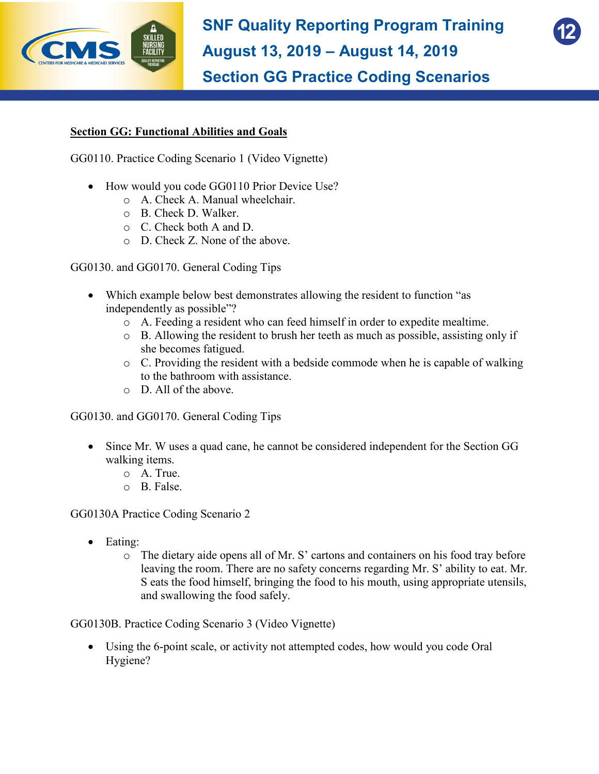



## **Section GG: Functional Abilities and Goals**

GG0110. Practice Coding Scenario 1 (Video Vignette)

- How would you code GG0110 Prior Device Use?
	- o A. Check A. Manual wheelchair.
	- o B. Check D. Walker.
	- o C. Check both A and D.
	- o D. Check Z. None of the above.

GG0130. and GG0170. General Coding Tips

- Which example below best demonstrates allowing the resident to function "as independently as possible"?
	- o A. Feeding a resident who can feed himself in order to expedite mealtime.
	- o B. Allowing the resident to brush her teeth as much as possible, assisting only if she becomes fatigued.
	- o C. Providing the resident with a bedside commode when he is capable of walking to the bathroom with assistance.
	- o D. All of the above.

GG0130. and GG0170. General Coding Tips

- Since Mr. W uses a quad cane, he cannot be considered independent for the Section GG walking items.
	- o A. True.
	- o B. False.

GG0130A Practice Coding Scenario 2

- Eating:
	- o The dietary aide opens all of Mr. S' cartons and containers on his food tray before leaving the room. There are no safety concerns regarding Mr. S' ability to eat. Mr. S eats the food himself, bringing the food to his mouth, using appropriate utensils, and swallowing the food safely.

GG0130B. Practice Coding Scenario 3 (Video Vignette)

• Using the 6-point scale, or activity not attempted codes, how would you code Oral Hygiene?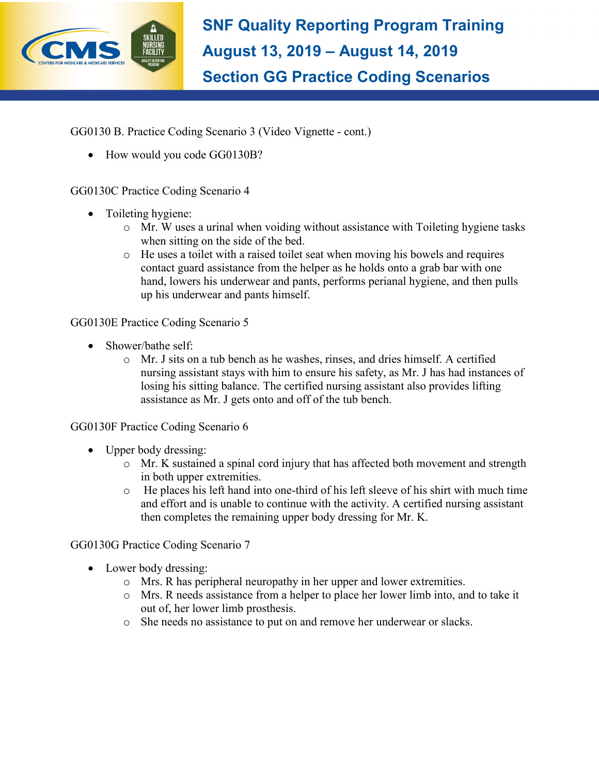

GG0130 B. Practice Coding Scenario 3 (Video Vignette - cont.)

• How would you code GG0130B?

## GG0130C Practice Coding Scenario 4

- Toileting hygiene:
	- o Mr. W uses a urinal when voiding without assistance with Toileting hygiene tasks when sitting on the side of the bed.
	- o He uses a toilet with a raised toilet seat when moving his bowels and requires contact guard assistance from the helper as he holds onto a grab bar with one hand, lowers his underwear and pants, performs perianal hygiene, and then pulls up his underwear and pants himself.

GG0130E Practice Coding Scenario 5

- Shower/bathe self:
	- o Mr. J sits on a tub bench as he washes, rinses, and dries himself. A certified nursing assistant stays with him to ensure his safety, as Mr. J has had instances of losing his sitting balance. The certified nursing assistant also provides lifting assistance as Mr. J gets onto and off of the tub bench.

## GG0130F Practice Coding Scenario 6

- Upper body dressing:
	- o Mr. K sustained a spinal cord injury that has affected both movement and strength in both upper extremities.
	- $\circ$  He places his left hand into one-third of his left sleeve of his shirt with much time and effort and is unable to continue with the activity. A certified nursing assistant then completes the remaining upper body dressing for Mr. K.

## GG0130G Practice Coding Scenario 7

- Lower body dressing:
	- o Mrs. R has peripheral neuropathy in her upper and lower extremities.
	- o Mrs. R needs assistance from a helper to place her lower limb into, and to take it out of, her lower limb prosthesis.
	- o She needs no assistance to put on and remove her underwear or slacks.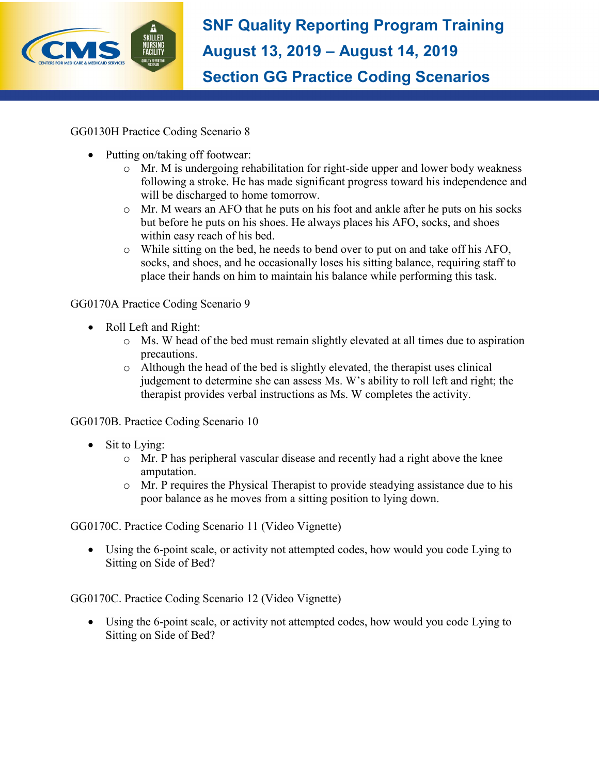

GG0130H Practice Coding Scenario 8

- Putting on/taking off footwear:
	- o Mr. M is undergoing rehabilitation for right-side upper and lower body weakness following a stroke. He has made significant progress toward his independence and will be discharged to home tomorrow.
	- o Mr. M wears an AFO that he puts on his foot and ankle after he puts on his socks but before he puts on his shoes. He always places his AFO, socks, and shoes within easy reach of his bed.
	- o While sitting on the bed, he needs to bend over to put on and take off his AFO, socks, and shoes, and he occasionally loses his sitting balance, requiring staff to place their hands on him to maintain his balance while performing this task.

# GG0170A Practice Coding Scenario 9

- Roll Left and Right:
	- o Ms. W head of the bed must remain slightly elevated at all times due to aspiration precautions.
	- o Although the head of the bed is slightly elevated, the therapist uses clinical judgement to determine she can assess Ms. W's ability to roll left and right; the therapist provides verbal instructions as Ms. W completes the activity.

GG0170B. Practice Coding Scenario 10

- Sit to Lying:
	- o Mr. P has peripheral vascular disease and recently had a right above the knee amputation.
	- $\circ$  Mr. P requires the Physical Therapist to provide steadying assistance due to his poor balance as he moves from a sitting position to lying down.

GG0170C. Practice Coding Scenario 11 (Video Vignette)

• Using the 6-point scale, or activity not attempted codes, how would you code Lying to Sitting on Side of Bed?

GG0170C. Practice Coding Scenario 12 (Video Vignette)

• Using the 6-point scale, or activity not attempted codes, how would you code Lying to Sitting on Side of Bed?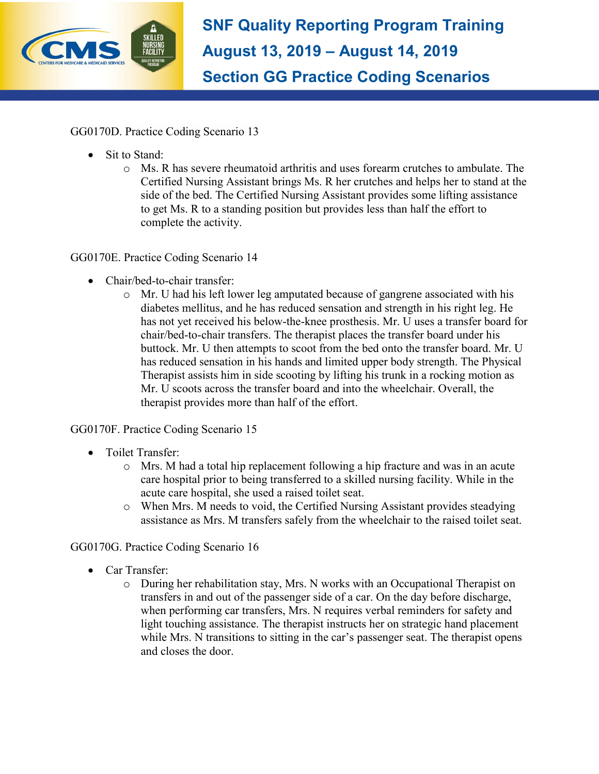

GG0170D. Practice Coding Scenario 13

- Sit to Stand:
	- o Ms. R has severe rheumatoid arthritis and uses forearm crutches to ambulate. The Certified Nursing Assistant brings Ms. R her crutches and helps her to stand at the side of the bed. The Certified Nursing Assistant provides some lifting assistance to get Ms. R to a standing position but provides less than half the effort to complete the activity.

# GG0170E. Practice Coding Scenario 14

- Chair/bed-to-chair transfer:
	- $\circ$  Mr. U had his left lower leg amputated because of gangrene associated with his diabetes mellitus, and he has reduced sensation and strength in his right leg. He has not yet received his below-the-knee prosthesis. Mr. U uses a transfer board for chair/bed-to-chair transfers. The therapist places the transfer board under his buttock. Mr. U then attempts to scoot from the bed onto the transfer board. Mr. U has reduced sensation in his hands and limited upper body strength. The Physical Therapist assists him in side scooting by lifting his trunk in a rocking motion as Mr. U scoots across the transfer board and into the wheelchair. Overall, the therapist provides more than half of the effort.

# GG0170F. Practice Coding Scenario 15

- · Toilet Transfer:
	- $\circ$  Mrs. M had a total hip replacement following a hip fracture and was in an acute care hospital prior to being transferred to a skilled nursing facility. While in the acute care hospital, she used a raised toilet seat.
	- o When Mrs. M needs to void, the Certified Nursing Assistant provides steadying assistance as Mrs. M transfers safely from the wheelchair to the raised toilet seat.

## GG0170G. Practice Coding Scenario 16

- Car Transfer:
	- o During her rehabilitation stay, Mrs. N works with an Occupational Therapist on transfers in and out of the passenger side of a car. On the day before discharge, when performing car transfers, Mrs. N requires verbal reminders for safety and light touching assistance. The therapist instructs her on strategic hand placement while Mrs. N transitions to sitting in the car's passenger seat. The therapist opens and closes the door.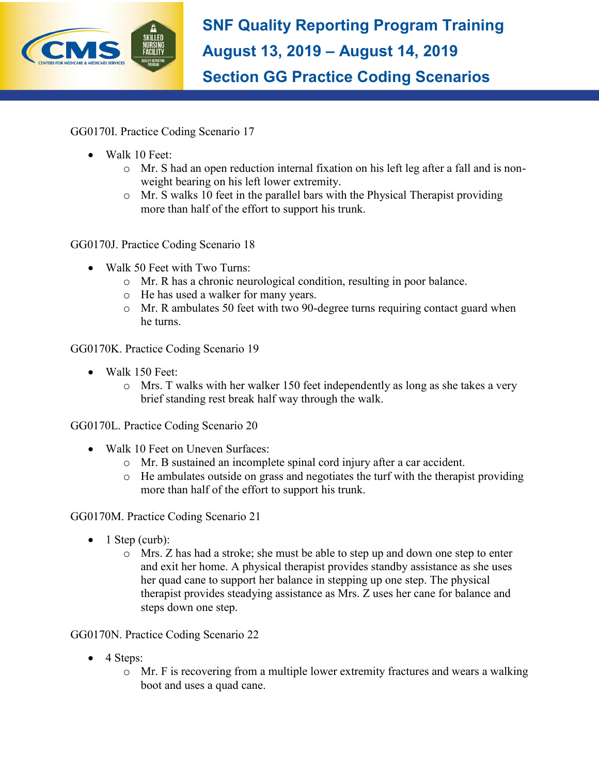

GG0170I. Practice Coding Scenario 17

- Walk 10 Feet:
	- $\circ$  Mr. S had an open reduction internal fixation on his left leg after a fall and is nonweight bearing on his left lower extremity.
	- o Mr. S walks 10 feet in the parallel bars with the Physical Therapist providing more than half of the effort to support his trunk.

GG0170J. Practice Coding Scenario 18

- Walk 50 Feet with Two Turns:
	- o Mr. R has a chronic neurological condition, resulting in poor balance.
	- o He has used a walker for many years.
	- o Mr. R ambulates 50 feet with two 90-degree turns requiring contact guard when he turns.

GG0170K. Practice Coding Scenario 19

- Walk 150 Feet:
	- o Mrs. T walks with her walker 150 feet independently as long as she takes a very brief standing rest break half way through the walk.

GG0170L. Practice Coding Scenario 20

- Walk 10 Feet on Uneven Surfaces:
	- o Mr. B sustained an incomplete spinal cord injury after a car accident.
	- o He ambulates outside on grass and negotiates the turf with the therapist providing more than half of the effort to support his trunk.

GG0170M. Practice Coding Scenario 21

- $\bullet$  1 Step (curb):
	- o Mrs. Z has had a stroke; she must be able to step up and down one step to enter and exit her home. A physical therapist provides standby assistance as she uses her quad cane to support her balance in stepping up one step. The physical therapist provides steadying assistance as Mrs. Z uses her cane for balance and steps down one step.

GG0170N. Practice Coding Scenario 22

- 4 Steps:
	- o Mr. F is recovering from a multiple lower extremity fractures and wears a walking boot and uses a quad cane.